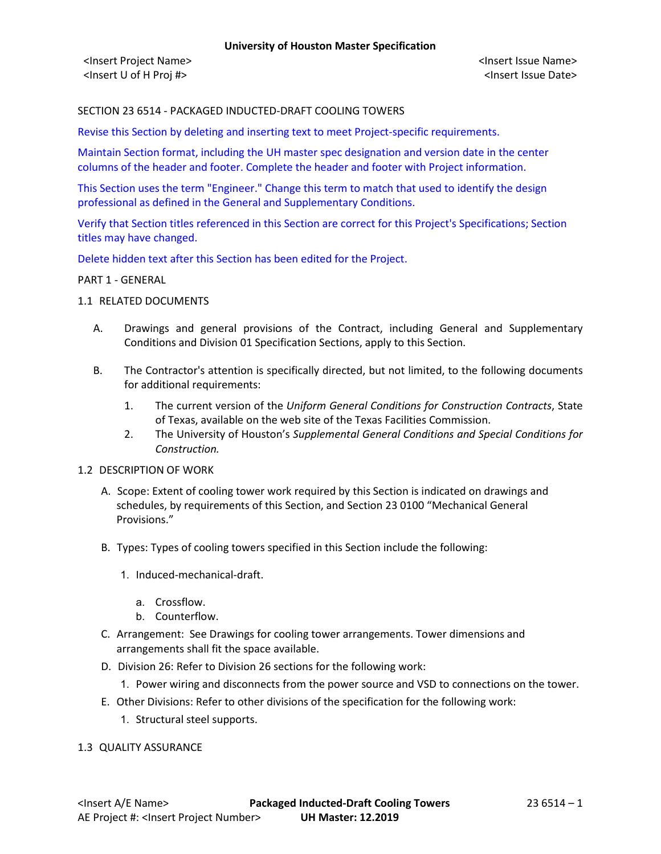<Insert Project Name> <Insert Issue Name> <Insert U of H Proj #> <Insert Issue Date>

# SECTION 23 6514 - PACKAGED INDUCTED-DRAFT COOLING TOWERS

Revise this Section by deleting and inserting text to meet Project-specific requirements.

Maintain Section format, including the UH master spec designation and version date in the center columns of the header and footer. Complete the header and footer with Project information.

This Section uses the term "Engineer." Change this term to match that used to identify the design professional as defined in the General and Supplementary Conditions.

Verify that Section titles referenced in this Section are correct for this Project's Specifications; Section titles may have changed.

Delete hidden text after this Section has been edited for the Project.

#### PART 1 - GENERAL

### 1.1 RELATED DOCUMENTS

- A. Drawings and general provisions of the Contract, including General and Supplementary Conditions and Division 01 Specification Sections, apply to this Section.
- B. The Contractor's attention is specifically directed, but not limited, to the following documents for additional requirements:
	- 1. The current version of the *Uniform General Conditions for Construction Contracts*, State of Texas, available on the web site of the Texas Facilities Commission.
	- 2. The University of Houston's *Supplemental General Conditions and Special Conditions for Construction.*

### 1.2 DESCRIPTION OF WORK

- A. Scope: Extent of cooling tower work required by this Section is indicated on drawings and schedules, by requirements of this Section, and Section 23 0100 "Mechanical General Provisions."
- B. Types: Types of cooling towers specified in this Section include the following:
	- 1. Induced-mechanical-draft.
		- a. Crossflow.
		- b. Counterflow.
- C. Arrangement: See Drawings for cooling tower arrangements. Tower dimensions and arrangements shall fit the space available.
- D. Division 26: Refer to Division 26 sections for the following work:
	- 1. Power wiring and disconnects from the power source and VSD to connections on the tower.
- E. Other Divisions: Refer to other divisions of the specification for the following work:
	- 1. Structural steel supports.

### 1.3 QUALITY ASSURANCE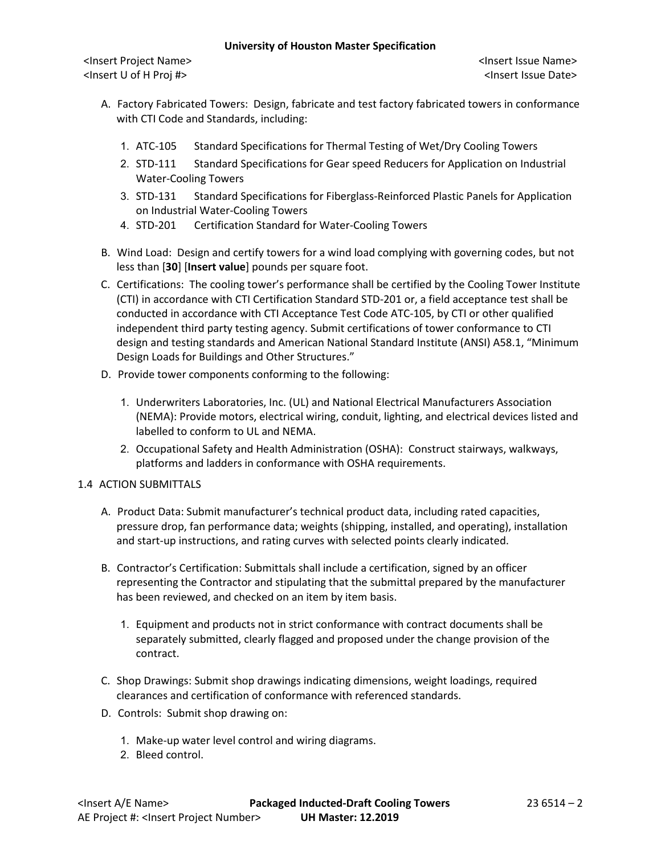<Insert Project Name> <Insert Issue Name> <Insert U of H Proj #> <Insert Issue Date>

- A. Factory Fabricated Towers: Design, fabricate and test factory fabricated towers in conformance with CTI Code and Standards, including:
	- 1. ATC-105 Standard Specifications for Thermal Testing of Wet/Dry Cooling Towers
	- 2. STD-111 Standard Specifications for Gear speed Reducers for Application on Industrial Water-Cooling Towers
	- 3. STD-131 Standard Specifications for Fiberglass-Reinforced Plastic Panels for Application on Industrial Water-Cooling Towers
	- 4. STD-201 Certification Standard for Water-Cooling Towers
- B. Wind Load: Design and certify towers for a wind load complying with governing codes, but not less than [**30**] [**Insert value**] pounds per square foot.
- C. Certifications: The cooling tower's performance shall be certified by the Cooling Tower Institute (CTI) in accordance with CTI Certification Standard STD-201 or, a field acceptance test shall be conducted in accordance with CTI Acceptance Test Code ATC-105, by CTI or other qualified independent third party testing agency. Submit certifications of tower conformance to CTI design and testing standards and American National Standard Institute (ANSI) A58.1, "Minimum Design Loads for Buildings and Other Structures."
- D. Provide tower components conforming to the following:
	- 1. Underwriters Laboratories, Inc. (UL) and National Electrical Manufacturers Association (NEMA): Provide motors, electrical wiring, conduit, lighting, and electrical devices listed and labelled to conform to UL and NEMA.
	- 2. Occupational Safety and Health Administration (OSHA): Construct stairways, walkways, platforms and ladders in conformance with OSHA requirements.

# 1.4 ACTION SUBMITTALS

- A. Product Data: Submit manufacturer's technical product data, including rated capacities, pressure drop, fan performance data; weights (shipping, installed, and operating), installation and start-up instructions, and rating curves with selected points clearly indicated.
- B. Contractor's Certification: Submittals shall include a certification, signed by an officer representing the Contractor and stipulating that the submittal prepared by the manufacturer has been reviewed, and checked on an item by item basis.
	- 1. Equipment and products not in strict conformance with contract documents shall be separately submitted, clearly flagged and proposed under the change provision of the contract.
- C. Shop Drawings: Submit shop drawings indicating dimensions, weight loadings, required clearances and certification of conformance with referenced standards.
- D. Controls: Submit shop drawing on:
	- 1. Make-up water level control and wiring diagrams.
	- 2. Bleed control.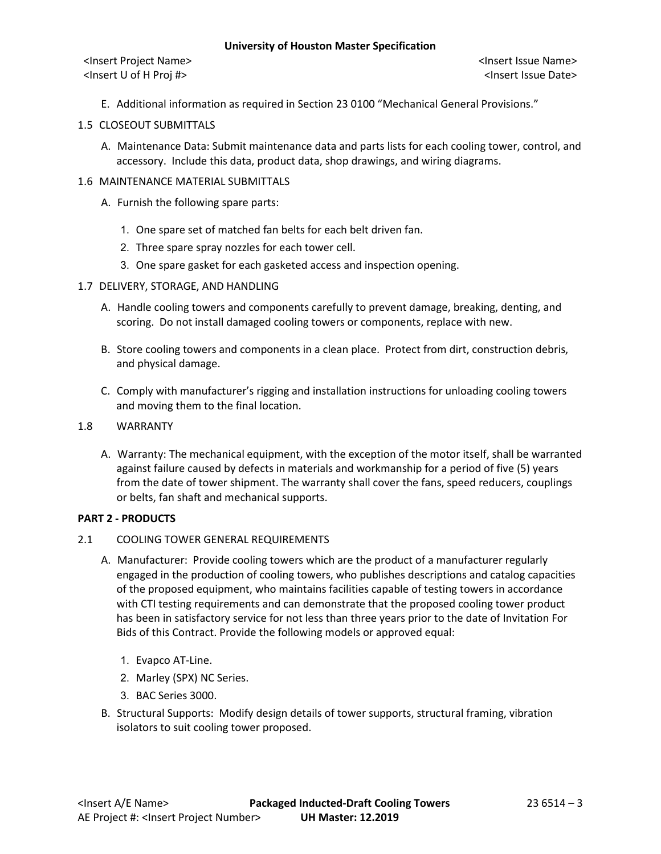<Insert Project Name> <Insert Issue Name> <Insert U of H Proj #> <Insert Issue Date>

E. Additional information as required in Section 23 0100 "Mechanical General Provisions."

# 1.5 CLOSEOUT SUBMITTALS

A. Maintenance Data: Submit maintenance data and parts lists for each cooling tower, control, and accessory. Include this data, product data, shop drawings, and wiring diagrams.

# 1.6 MAINTENANCE MATERIAL SUBMITTALS

- A. Furnish the following spare parts:
	- 1. One spare set of matched fan belts for each belt driven fan.
	- 2. Three spare spray nozzles for each tower cell.
	- 3. One spare gasket for each gasketed access and inspection opening.

# 1.7 DELIVERY, STORAGE, AND HANDLING

- A. Handle cooling towers and components carefully to prevent damage, breaking, denting, and scoring. Do not install damaged cooling towers or components, replace with new.
- B. Store cooling towers and components in a clean place. Protect from dirt, construction debris, and physical damage.
- C. Comply with manufacturer's rigging and installation instructions for unloading cooling towers and moving them to the final location.
- 1.8 WARRANTY
	- A. Warranty: The mechanical equipment, with the exception of the motor itself, shall be warranted against failure caused by defects in materials and workmanship for a period of five (5) years from the date of tower shipment. The warranty shall cover the fans, speed reducers, couplings or belts, fan shaft and mechanical supports.

### **PART 2 - PRODUCTS**

- 2.1 COOLING TOWER GENERAL REQUIREMENTS
	- A. Manufacturer: Provide cooling towers which are the product of a manufacturer regularly engaged in the production of cooling towers, who publishes descriptions and catalog capacities of the proposed equipment, who maintains facilities capable of testing towers in accordance with CTI testing requirements and can demonstrate that the proposed cooling tower product has been in satisfactory service for not less than three years prior to the date of Invitation For Bids of this Contract. Provide the following models or approved equal:
		- 1. Evapco AT-Line.
		- 2. Marley (SPX) NC Series.
		- 3. BAC Series 3000.
	- B. Structural Supports: Modify design details of tower supports, structural framing, vibration isolators to suit cooling tower proposed.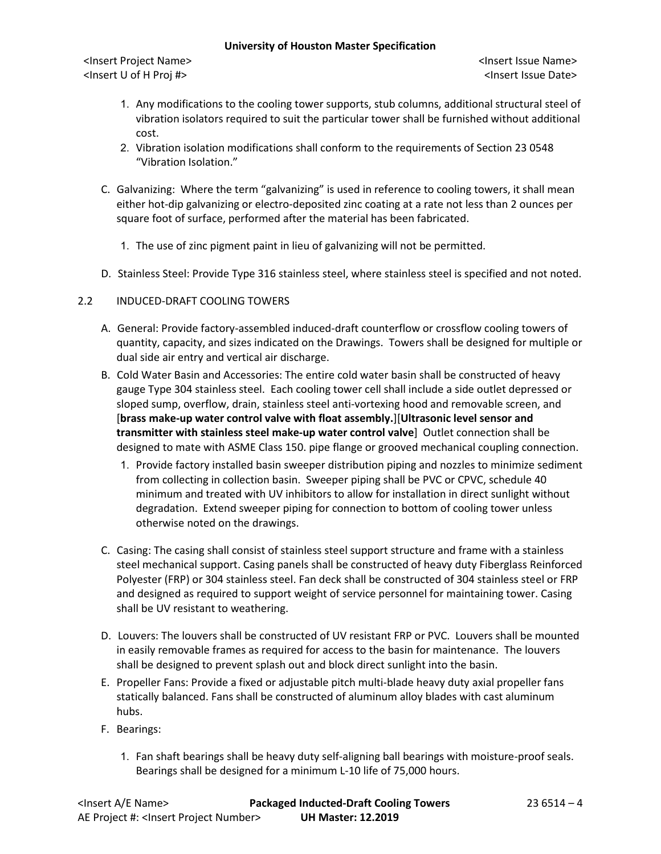<Insert Project Name> <Insert Issue Name> <Insert U of H Proj #> <Insert Issue Date>

- 1. Any modifications to the cooling tower supports, stub columns, additional structural steel of vibration isolators required to suit the particular tower shall be furnished without additional cost.
- 2. Vibration isolation modifications shall conform to the requirements of Section 23 0548 "Vibration Isolation."
- C. Galvanizing: Where the term "galvanizing" is used in reference to cooling towers, it shall mean either hot-dip galvanizing or electro-deposited zinc coating at a rate not less than 2 ounces per square foot of surface, performed after the material has been fabricated.
	- 1. The use of zinc pigment paint in lieu of galvanizing will not be permitted.
- D. Stainless Steel: Provide Type 316 stainless steel, where stainless steel is specified and not noted.
- 2.2 INDUCED-DRAFT COOLING TOWERS
	- A. General: Provide factory-assembled induced-draft counterflow or crossflow cooling towers of quantity, capacity, and sizes indicated on the Drawings. Towers shall be designed for multiple or dual side air entry and vertical air discharge.
	- B. Cold Water Basin and Accessories: The entire cold water basin shall be constructed of heavy gauge Type 304 stainless steel. Each cooling tower cell shall include a side outlet depressed or sloped sump, overflow, drain, stainless steel anti-vortexing hood and removable screen, and [**brass make-up water control valve with float assembly.**][**Ultrasonic level sensor and transmitter with stainless steel make-up water control valve**] Outlet connection shall be designed to mate with ASME Class 150. pipe flange or grooved mechanical coupling connection.
		- 1. Provide factory installed basin sweeper distribution piping and nozzles to minimize sediment from collecting in collection basin. Sweeper piping shall be PVC or CPVC, schedule 40 minimum and treated with UV inhibitors to allow for installation in direct sunlight without degradation. Extend sweeper piping for connection to bottom of cooling tower unless otherwise noted on the drawings.
	- C. Casing: The casing shall consist of stainless steel support structure and frame with a stainless steel mechanical support. Casing panels shall be constructed of heavy duty Fiberglass Reinforced Polyester (FRP) or 304 stainless steel. Fan deck shall be constructed of 304 stainless steel or FRP and designed as required to support weight of service personnel for maintaining tower. Casing shall be UV resistant to weathering.
	- D. Louvers: The louvers shall be constructed of UV resistant FRP or PVC. Louvers shall be mounted in easily removable frames as required for access to the basin for maintenance. The louvers shall be designed to prevent splash out and block direct sunlight into the basin.
	- E. Propeller Fans: Provide a fixed or adjustable pitch multi-blade heavy duty axial propeller fans statically balanced. Fans shall be constructed of aluminum alloy blades with cast aluminum hubs.
	- F. Bearings:
		- 1. Fan shaft bearings shall be heavy duty self-aligning ball bearings with moisture-proof seals. Bearings shall be designed for a minimum L-10 life of 75,000 hours.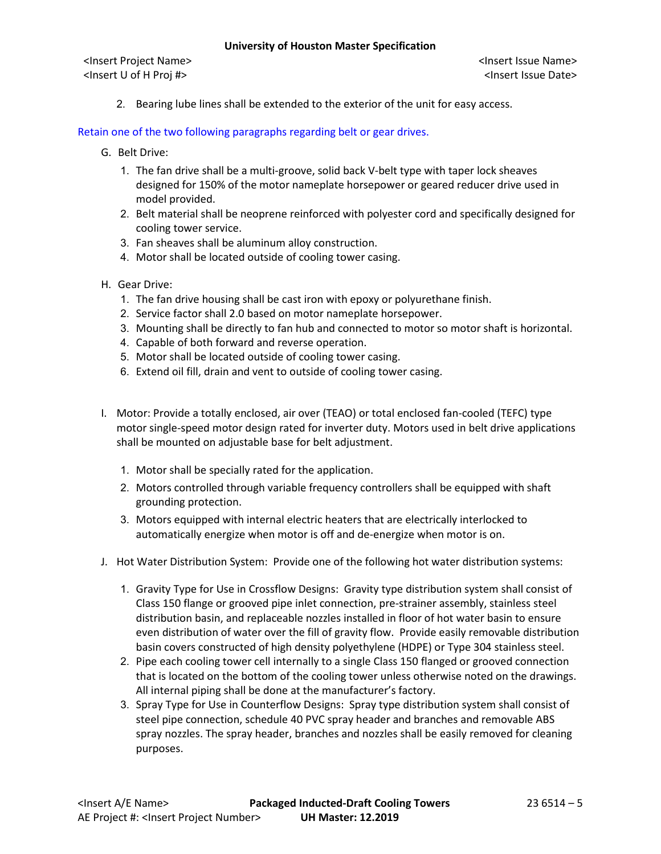<Insert Project Name> <Insert Issue Name> <Insert U of H Proj #> <Insert Issue Date>

2. Bearing lube lines shall be extended to the exterior of the unit for easy access.

# Retain one of the two following paragraphs regarding belt or gear drives.

- G. Belt Drive:
	- 1. The fan drive shall be a multi-groove, solid back V-belt type with taper lock sheaves designed for 150% of the motor nameplate horsepower or geared reducer drive used in model provided.
	- 2. Belt material shall be neoprene reinforced with polyester cord and specifically designed for cooling tower service.
	- 3. Fan sheaves shall be aluminum alloy construction.
	- 4. Motor shall be located outside of cooling tower casing.
- H. Gear Drive:
	- 1. The fan drive housing shall be cast iron with epoxy or polyurethane finish.
	- 2. Service factor shall 2.0 based on motor nameplate horsepower.
	- 3. Mounting shall be directly to fan hub and connected to motor so motor shaft is horizontal.
	- 4. Capable of both forward and reverse operation.
	- 5. Motor shall be located outside of cooling tower casing.
	- 6. Extend oil fill, drain and vent to outside of cooling tower casing.
- I. Motor: Provide a totally enclosed, air over (TEAO) or total enclosed fan-cooled (TEFC) type motor single-speed motor design rated for inverter duty. Motors used in belt drive applications shall be mounted on adjustable base for belt adjustment.
	- 1. Motor shall be specially rated for the application.
	- 2. Motors controlled through variable frequency controllers shall be equipped with shaft grounding protection.
	- 3. Motors equipped with internal electric heaters that are electrically interlocked to automatically energize when motor is off and de-energize when motor is on.
- J. Hot Water Distribution System: Provide one of the following hot water distribution systems:
	- 1. Gravity Type for Use in Crossflow Designs: Gravity type distribution system shall consist of Class 150 flange or grooved pipe inlet connection, pre-strainer assembly, stainless steel distribution basin, and replaceable nozzles installed in floor of hot water basin to ensure even distribution of water over the fill of gravity flow. Provide easily removable distribution basin covers constructed of high density polyethylene (HDPE) or Type 304 stainless steel.
	- 2. Pipe each cooling tower cell internally to a single Class 150 flanged or grooved connection that is located on the bottom of the cooling tower unless otherwise noted on the drawings. All internal piping shall be done at the manufacturer's factory.
	- 3. Spray Type for Use in Counterflow Designs: Spray type distribution system shall consist of steel pipe connection, schedule 40 PVC spray header and branches and removable ABS spray nozzles. The spray header, branches and nozzles shall be easily removed for cleaning purposes.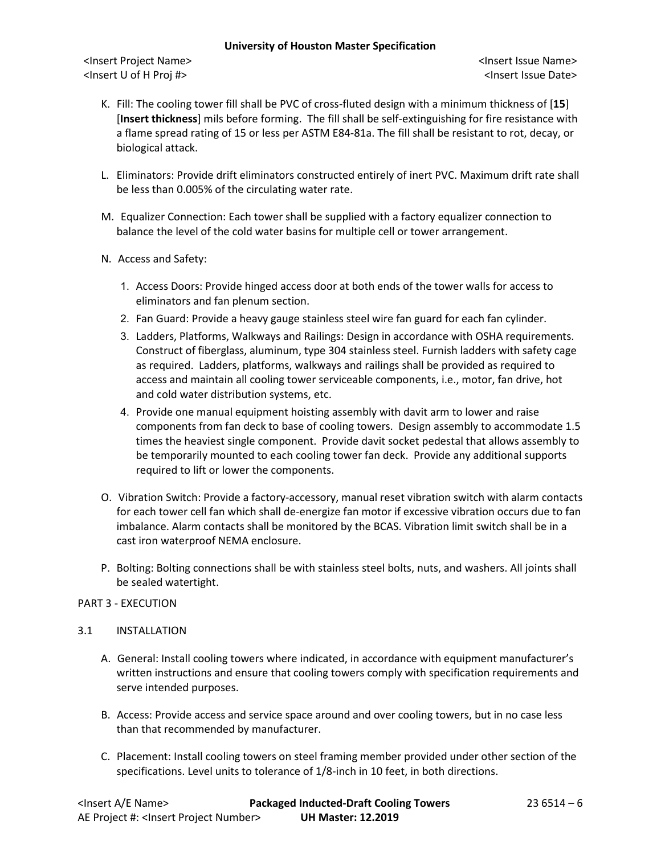<Insert Project Name> <Insert Issue Name> <Insert U of H Proj #> <Insert Issue Date>

- K. Fill: The cooling tower fill shall be PVC of cross-fluted design with a minimum thickness of [**15**] [**Insert thickness**] mils before forming. The fill shall be self-extinguishing for fire resistance with a flame spread rating of 15 or less per ASTM E84-81a. The fill shall be resistant to rot, decay, or biological attack.
- L. Eliminators: Provide drift eliminators constructed entirely of inert PVC. Maximum drift rate shall be less than 0.005% of the circulating water rate.
- M. Equalizer Connection: Each tower shall be supplied with a factory equalizer connection to balance the level of the cold water basins for multiple cell or tower arrangement.
- N. Access and Safety:
	- 1. Access Doors: Provide hinged access door at both ends of the tower walls for access to eliminators and fan plenum section.
	- 2. Fan Guard: Provide a heavy gauge stainless steel wire fan guard for each fan cylinder.
	- 3. Ladders, Platforms, Walkways and Railings: Design in accordance with OSHA requirements. Construct of fiberglass, aluminum, type 304 stainless steel. Furnish ladders with safety cage as required. Ladders, platforms, walkways and railings shall be provided as required to access and maintain all cooling tower serviceable components, i.e., motor, fan drive, hot and cold water distribution systems, etc.
	- 4. Provide one manual equipment hoisting assembly with davit arm to lower and raise components from fan deck to base of cooling towers. Design assembly to accommodate 1.5 times the heaviest single component. Provide davit socket pedestal that allows assembly to be temporarily mounted to each cooling tower fan deck. Provide any additional supports required to lift or lower the components.
- O. Vibration Switch: Provide a factory-accessory, manual reset vibration switch with alarm contacts for each tower cell fan which shall de-energize fan motor if excessive vibration occurs due to fan imbalance. Alarm contacts shall be monitored by the BCAS. Vibration limit switch shall be in a cast iron waterproof NEMA enclosure.
- P. Bolting: Bolting connections shall be with stainless steel bolts, nuts, and washers. All joints shall be sealed watertight.

### PART 3 - EXECUTION

### 3.1 INSTALLATION

- A. General: Install cooling towers where indicated, in accordance with equipment manufacturer's written instructions and ensure that cooling towers comply with specification requirements and serve intended purposes.
- B. Access: Provide access and service space around and over cooling towers, but in no case less than that recommended by manufacturer.
- C. Placement: Install cooling towers on steel framing member provided under other section of the specifications. Level units to tolerance of 1/8-inch in 10 feet, in both directions.